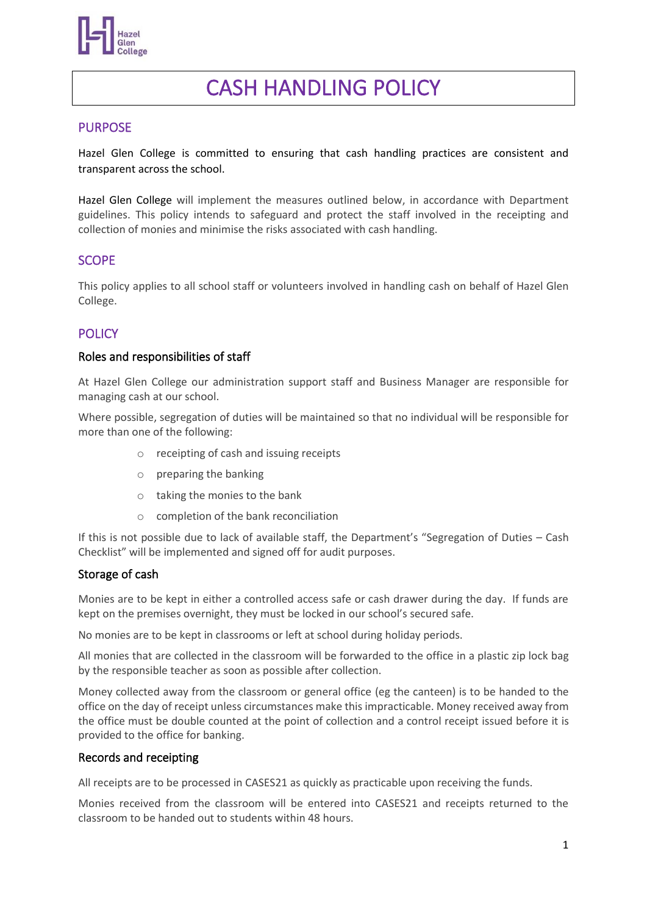

# CASH HANDLING POLICY

### PURPOSE

Hazel Glen College is committed to ensuring that cash handling practices are consistent and transparent across the school.

Hazel Glen College will implement the measures outlined below, in accordance with Department guidelines. This policy intends to safeguard and protect the staff involved in the receipting and collection of monies and minimise the risks associated with cash handling.

# SCOPE

This policy applies to all school staff or volunteers involved in handling cash on behalf of Hazel Glen College.

# **POLICY**

#### Roles and responsibilities of staff

At Hazel Glen College our administration support staff and Business Manager are responsible for managing cash at our school.

Where possible, segregation of duties will be maintained so that no individual will be responsible for more than one of the following:

- o receipting of cash and issuing receipts
- o preparing the banking
- o taking the monies to the bank
- o completion of the bank reconciliation

If this is not possible due to lack of available staff, the Department's "Segregation of Duties – Cash Checklist" will be implemented and signed off for audit purposes.

#### Storage of cash

Monies are to be kept in either a controlled access safe or cash drawer during the day. If funds are kept on the premises overnight, they must be locked in our school's secured safe.

No monies are to be kept in classrooms or left at school during holiday periods.

All monies that are collected in the classroom will be forwarded to the office in a plastic zip lock bag by the responsible teacher as soon as possible after collection.

Money collected away from the classroom or general office (eg the canteen) is to be handed to the office on the day of receipt unless circumstances make this impracticable. Money received away from the office must be double counted at the point of collection and a control receipt issued before it is provided to the office for banking.

#### Records and receipting

All receipts are to be processed in CASES21 as quickly as practicable upon receiving the funds.

Monies received from the classroom will be entered into CASES21 and receipts returned to the classroom to be handed out to students within 48 hours.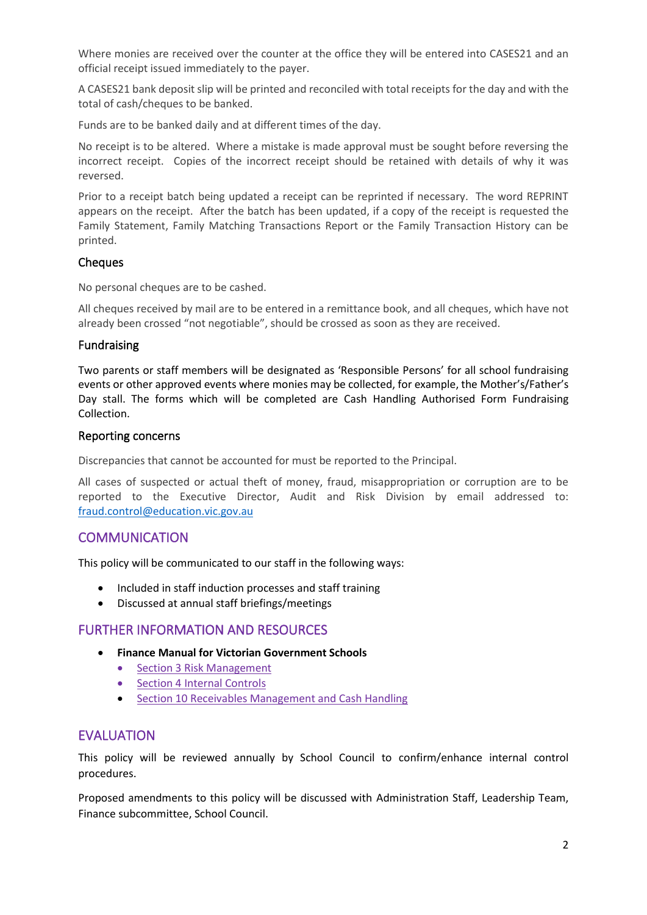Where monies are received over the counter at the office they will be entered into CASES21 and an official receipt issued immediately to the payer.

A CASES21 bank deposit slip will be printed and reconciled with total receipts for the day and with the total of cash/cheques to be banked.

Funds are to be banked daily and at different times of the day.

No receipt is to be altered. Where a mistake is made approval must be sought before reversing the incorrect receipt. Copies of the incorrect receipt should be retained with details of why it was reversed.

Prior to a receipt batch being updated a receipt can be reprinted if necessary. The word REPRINT appears on the receipt. After the batch has been updated, if a copy of the receipt is requested the Family Statement, Family Matching Transactions Report or the Family Transaction History can be printed.

#### **Cheques**

No personal cheques are to be cashed.

All cheques received by mail are to be entered in a remittance book, and all cheques, which have not already been crossed "not negotiable", should be crossed as soon as they are received.

#### Fundraising

Two parents or staff members will be designated as 'Responsible Persons' for all school fundraising events or other approved events where monies may be collected, for example, the Mother's/Father's Day stall. The forms which will be completed are Cash Handling Authorised Form Fundraising Collection.

#### Reporting concerns

Discrepancies that cannot be accounted for must be reported to the Principal.

All cases of suspected or actual theft of money, fraud, misappropriation or corruption are to be reported to the Executive Director, Audit and Risk Division by email addressed to: [fraud.control@education.vic.gov.au](mailto:fraud.control@education.vic.gov.au)

# **COMMUNICATION**

This policy will be communicated to our staff in the following ways:

- Included in staff induction processes and staff training
- Discussed at annual staff briefings/meetings

#### FURTHER INFORMATION AND RESOURCES

- **Finance Manual for Victorian Government Schools** 
	- [Section 3 Risk Management](https://www2.education.vic.gov.au/pal/risk-management-finance-manual-section-3/policy)
	- [Section 4 Internal Controls](https://www2.education.vic.gov.au/pal/internal-controls-finance-manual-section-4/policy)
	- [Section 10 Receivables Management and Cash Handling](https://www2.education.vic.gov.au/pal/receivables-management-and-cash-handling-finance-manual-section-10/policy)

# **FVALUATION**

This policy will be reviewed annually by School Council to confirm/enhance internal control procedures.

Proposed amendments to this policy will be discussed with Administration Staff, Leadership Team, Finance subcommittee, School Council.